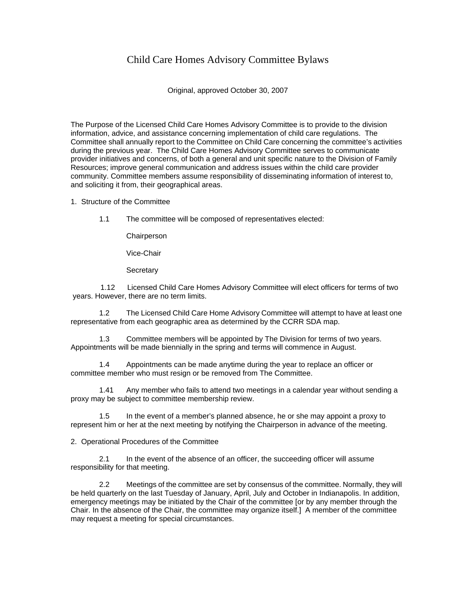## Child Care Homes Advisory Committee Bylaws

Original, approved October 30, 2007

The Purpose of the Licensed Child Care Homes Advisory Committee is to provide to the division information, advice, and assistance concerning implementation of child care regulations. The Committee shall annually report to the Committee on Child Care concerning the committee's activities during the previous year. The Child Care Homes Advisory Committee serves to communicate provider initiatives and concerns, of both a general and unit specific nature to the Division of Family Resources; improve general communication and address issues within the child care provider community. Committee members assume responsibility of disseminating information of interest to, and soliciting it from, their geographical areas.

1. Structure of the Committee

1.1 The committee will be composed of representatives elected:

**Chairperson** 

Vice-Chair

**Secretary** 

 1.12 Licensed Child Care Homes Advisory Committee will elect officers for terms of two years. However, there are no term limits.

1.2 The Licensed Child Care Home Advisory Committee will attempt to have at least one representative from each geographic area as determined by the CCRR SDA map.

1.3 Committee members will be appointed by The Division for terms of two years. Appointments will be made biennially in the spring and terms will commence in August.

1.4 Appointments can be made anytime during the year to replace an officer or committee member who must resign or be removed from The Committee.

1.41 Any member who fails to attend two meetings in a calendar year without sending a proxy may be subject to committee membership review.

1.5 In the event of a member's planned absence, he or she may appoint a proxy to represent him or her at the next meeting by notifying the Chairperson in advance of the meeting.

2. Operational Procedures of the Committee

2.1 In the event of the absence of an officer, the succeeding officer will assume responsibility for that meeting.

2.2 Meetings of the committee are set by consensus of the committee. Normally, they will be held quarterly on the last Tuesday of January, April, July and October in Indianapolis. In addition, emergency meetings may be initiated by the Chair of the committee [or by any member through the Chair. In the absence of the Chair, the committee may organize itself.] A member of the committee may request a meeting for special circumstances.